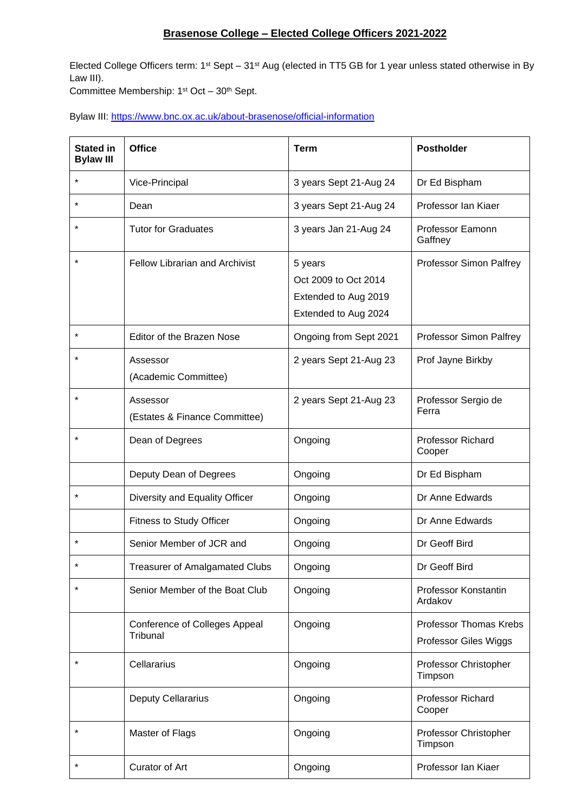## **Brasenose College – Elected College Officers 2021-2022**

Elected College Officers term:  $1<sup>st</sup>$  Sept – 31<sup>st</sup> Aug (elected in TT5 GB for 1 year unless stated otherwise in By Law III).

Committee Membership: 1<sup>st</sup> Oct - 30<sup>th</sup> Sept.

Bylaw III:<https://www.bnc.ox.ac.uk/about-brasenose/official-information>

| <b>Stated in</b><br><b>Bylaw III</b> | <b>Office</b>                             | <b>Term</b>                                                                     | <b>Postholder</b>                               |
|--------------------------------------|-------------------------------------------|---------------------------------------------------------------------------------|-------------------------------------------------|
| $^\star$                             | Vice-Principal                            | 3 years Sept 21-Aug 24                                                          | Dr Ed Bispham                                   |
| $^\star$                             | Dean                                      | 3 years Sept 21-Aug 24                                                          | Professor Ian Kiaer                             |
| *                                    | <b>Tutor for Graduates</b>                | 3 years Jan 21-Aug 24                                                           | Professor Eamonn<br>Gaffney                     |
| $\star$                              | <b>Fellow Librarian and Archivist</b>     | 5 years<br>Oct 2009 to Oct 2014<br>Extended to Aug 2019<br>Extended to Aug 2024 | Professor Simon Palfrey                         |
| $\star$                              | Editor of the Brazen Nose                 | Ongoing from Sept 2021                                                          | Professor Simon Palfrey                         |
| $\star$                              | Assessor<br>(Academic Committee)          | 2 years Sept 21-Aug 23                                                          | Prof Jayne Birkby                               |
| $\star$                              | Assessor<br>(Estates & Finance Committee) | 2 years Sept 21-Aug 23                                                          | Professor Sergio de<br>Ferra                    |
| $^\star$                             | Dean of Degrees                           | Ongoing                                                                         | <b>Professor Richard</b><br>Cooper              |
|                                      | Deputy Dean of Degrees                    | Ongoing                                                                         | Dr Ed Bispham                                   |
| *                                    | Diversity and Equality Officer            | Ongoing                                                                         | Dr Anne Edwards                                 |
|                                      | Fitness to Study Officer                  | Ongoing                                                                         | Dr Anne Edwards                                 |
| *                                    | Senior Member of JCR and                  | Ongoing                                                                         | Dr Geoff Bird                                   |
|                                      | Treasurer of Amalgamated Clubs            | Ongoing                                                                         | Dr Geoff Bird                                   |
| $\star$                              | Senior Member of the Boat Club            | Ongoing                                                                         | Professor Konstantin<br>Ardakov                 |
|                                      | Conference of Colleges Appeal<br>Tribunal | Ongoing                                                                         | Professor Thomas Krebs<br>Professor Giles Wiggs |
| $^\star$                             | Cellararius                               | Ongoing                                                                         | Professor Christopher<br>Timpson                |
|                                      | <b>Deputy Cellararius</b>                 | Ongoing                                                                         | Professor Richard<br>Cooper                     |
| *                                    | Master of Flags                           | Ongoing                                                                         | Professor Christopher<br>Timpson                |
| $^\star$                             | Curator of Art                            | Ongoing                                                                         | Professor Ian Kiaer                             |